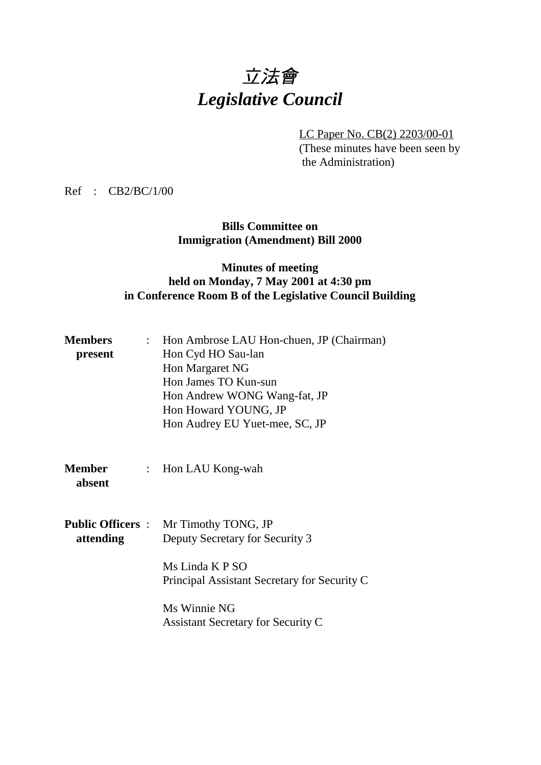# 立法會 *Legislative Council*

LC Paper No. CB(2) 2203/00-01 (These minutes have been seen by the Administration)

Ref : CB2/BC/1/00

**Bills Committee on Immigration (Amendment) Bill 2000**

## **Minutes of meeting held on Monday, 7 May 2001 at 4:30 pm in Conference Room B of the Legislative Council Building**

| <b>Members</b>           |                           | : Hon Ambrose LAU Hon-chuen, JP (Chairman)                      |
|--------------------------|---------------------------|-----------------------------------------------------------------|
| present                  |                           | Hon Cyd HO Sau-lan                                              |
|                          |                           | Hon Margaret NG                                                 |
|                          |                           | Hon James TO Kun-sun                                            |
|                          |                           | Hon Andrew WONG Wang-fat, JP                                    |
|                          |                           | Hon Howard YOUNG, JP                                            |
|                          |                           | Hon Audrey EU Yuet-mee, SC, JP                                  |
|                          |                           |                                                                 |
| <b>Member</b><br>absent  | $\mathbb{Z}^{\mathbb{Z}}$ | Hon LAU Kong-wah                                                |
| <b>Public Officers :</b> |                           | Mr Timothy TONG, JP                                             |
| attending                |                           | Deputy Secretary for Security 3                                 |
|                          |                           | Ms Linda K P SO<br>Principal Assistant Secretary for Security C |
|                          |                           | Ms Winnie NG<br><b>Assistant Secretary for Security C</b>       |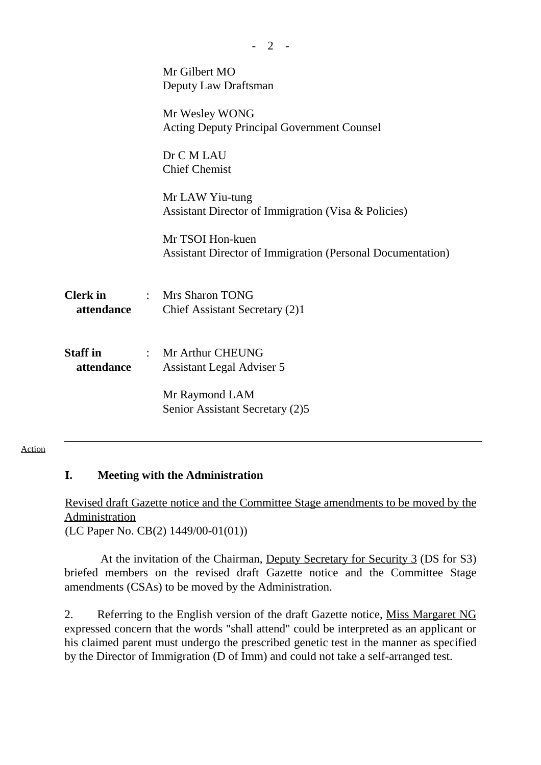|                               | Mr Gilbert MO<br>Deputy Law Draftsman                                                 |
|-------------------------------|---------------------------------------------------------------------------------------|
|                               | Mr Wesley WONG<br><b>Acting Deputy Principal Government Counsel</b>                   |
|                               | Dr C M LAU<br><b>Chief Chemist</b>                                                    |
|                               | Mr LAW Yiu-tung<br>Assistant Director of Immigration (Visa & Policies)                |
|                               | Mr TSOI Hon-kuen<br><b>Assistant Director of Immigration (Personal Documentation)</b> |
| <b>Clerk</b> in<br>attendance | : Mrs Sharon TONG<br>Chief Assistant Secretary (2)1                                   |
| <b>Staff</b> in<br>attendance | : Mr Arthur CHEUNG<br>Assistant Legal Adviser 5                                       |
|                               | Mr Raymond LAM<br>Senior Assistant Secretary (2)5                                     |

 $- 2 -$ 

#### Action

## **I. Meeting with the Administration**

Revised draft Gazette notice and the Committee Stage amendments to be moved by the Administration (LC Paper No. CB(2) 1449/00-01(01))

 At the invitation of the Chairman, Deputy Secretary for Security 3 (DS for S3) briefed members on the revised draft Gazette notice and the Committee Stage amendments (CSAs) to be moved by the Administration.

2. Referring to the English version of the draft Gazette notice, Miss Margaret NG expressed concern that the words "shall attend" could be interpreted as an applicant or his claimed parent must undergo the prescribed genetic test in the manner as specified by the Director of Immigration (D of Imm) and could not take a self-arranged test.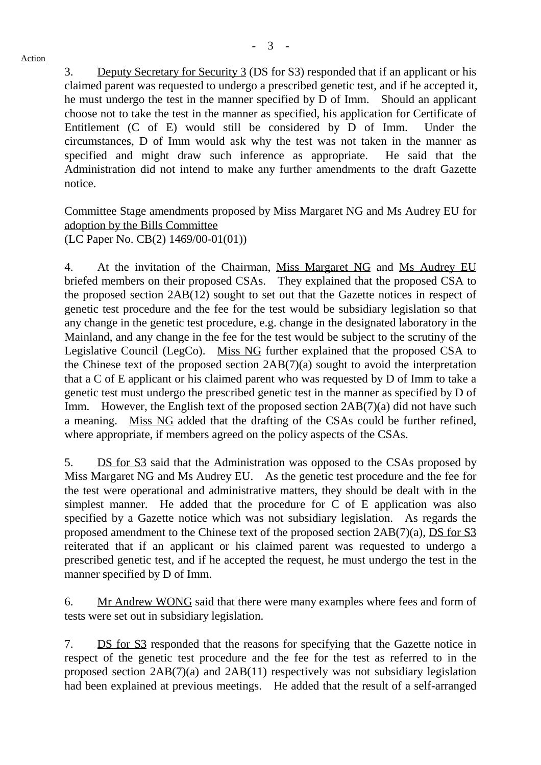#### Action

3. Deputy Secretary for Security 3 (DS for S3) responded that if an applicant or his claimed parent was requested to undergo a prescribed genetic test, and if he accepted it, he must undergo the test in the manner specified by D of Imm. Should an applicant choose not to take the test in the manner as specified, his application for Certificate of Entitlement (C of E) would still be considered by D of Imm. Under the circumstances, D of Imm would ask why the test was not taken in the manner as specified and might draw such inference as appropriate. He said that the Administration did not intend to make any further amendments to the draft Gazette notice.

### Committee Stage amendments proposed by Miss Margaret NG and Ms Audrey EU for adoption by the Bills Committee (LC Paper No. CB(2) 1469/00-01(01))

4. At the invitation of the Chairman, Miss Margaret NG and Ms Audrey EU briefed members on their proposed CSAs. They explained that the proposed CSA to the proposed section 2AB(12) sought to set out that the Gazette notices in respect of genetic test procedure and the fee for the test would be subsidiary legislation so that any change in the genetic test procedure, e.g. change in the designated laboratory in the Mainland, and any change in the fee for the test would be subject to the scrutiny of the Legislative Council (LegCo). Miss NG further explained that the proposed CSA to the Chinese text of the proposed section 2AB(7)(a) sought to avoid the interpretation that a C of E applicant or his claimed parent who was requested by D of Imm to take a genetic test must undergo the prescribed genetic test in the manner as specified by D of Imm. However, the English text of the proposed section 2AB(7)(a) did not have such a meaning. Miss NG added that the drafting of the CSAs could be further refined, where appropriate, if members agreed on the policy aspects of the CSAs.

5. DS for S3 said that the Administration was opposed to the CSAs proposed by Miss Margaret NG and Ms Audrey EU. As the genetic test procedure and the fee for the test were operational and administrative matters, they should be dealt with in the simplest manner. He added that the procedure for C of E application was also specified by a Gazette notice which was not subsidiary legislation. As regards the proposed amendment to the Chinese text of the proposed section 2AB(7)(a), DS for S3 reiterated that if an applicant or his claimed parent was requested to undergo a prescribed genetic test, and if he accepted the request, he must undergo the test in the manner specified by D of Imm.

6. Mr Andrew WONG said that there were many examples where fees and form of tests were set out in subsidiary legislation.

7. DS for S3 responded that the reasons for specifying that the Gazette notice in respect of the genetic test procedure and the fee for the test as referred to in the proposed section 2AB(7)(a) and 2AB(11) respectively was not subsidiary legislation had been explained at previous meetings. He added that the result of a self-arranged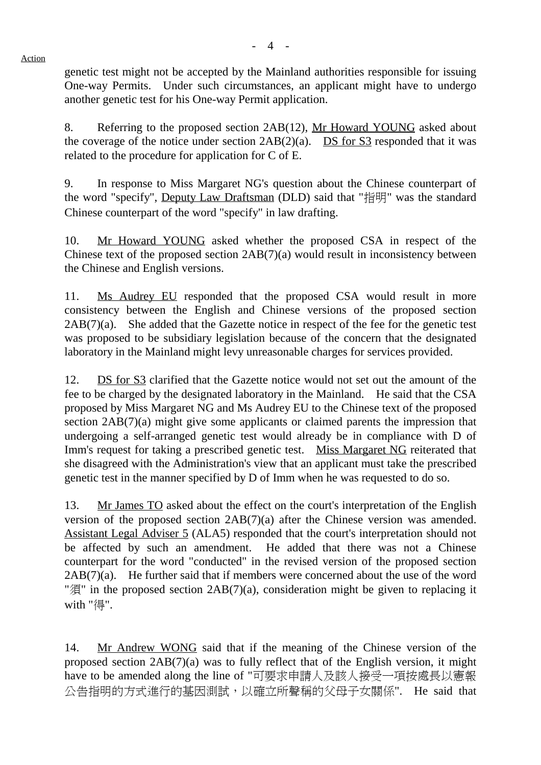Action

genetic test might not be accepted by the Mainland authorities responsible for issuing One-way Permits. Under such circumstances, an applicant might have to undergo another genetic test for his One-way Permit application.

8. Referring to the proposed section 2AB(12), Mr Howard YOUNG asked about the coverage of the notice under section  $2AB(2)(a)$ . DS for S3 responded that it was related to the procedure for application for C of E.

9. In response to Miss Margaret NG's question about the Chinese counterpart of the word "specify", Deputy Law Draftsman (DLD) said that "指明" was the standard Chinese counterpart of the word "specify" in law drafting.

10. Mr Howard YOUNG asked whether the proposed CSA in respect of the Chinese text of the proposed section 2AB(7)(a) would result in inconsistency between the Chinese and English versions.

11. Ms Audrey EU responded that the proposed CSA would result in more consistency between the English and Chinese versions of the proposed section  $2AB(7)(a)$ . She added that the Gazette notice in respect of the fee for the genetic test was proposed to be subsidiary legislation because of the concern that the designated laboratory in the Mainland might levy unreasonable charges for services provided.

12. DS for S3 clarified that the Gazette notice would not set out the amount of the fee to be charged by the designated laboratory in the Mainland. He said that the CSA proposed by Miss Margaret NG and Ms Audrey EU to the Chinese text of the proposed section 2AB(7)(a) might give some applicants or claimed parents the impression that undergoing a self-arranged genetic test would already be in compliance with D of Imm's request for taking a prescribed genetic test. Miss Margaret NG reiterated that she disagreed with the Administration's view that an applicant must take the prescribed genetic test in the manner specified by D of Imm when he was requested to do so.

13. Mr James TO asked about the effect on the court's interpretation of the English version of the proposed section 2AB(7)(a) after the Chinese version was amended. Assistant Legal Adviser 5 (ALA5) responded that the court's interpretation should not be affected by such an amendment. He added that there was not a Chinese counterpart for the word "conducted" in the revised version of the proposed section 2AB(7)(a). He further said that if members were concerned about the use of the word "須" in the proposed section 2AB(7)(a), consideration might be given to replacing it with "得".

14. Mr Andrew WONG said that if the meaning of the Chinese version of the proposed section 2AB(7)(a) was to fully reflect that of the English version, it might have to be amended along the line of "可要求申請人及該人接受一項按處長以憲報 公告指明的方式進行的基因測試,以確立所聲稱的父母子女關係". He said that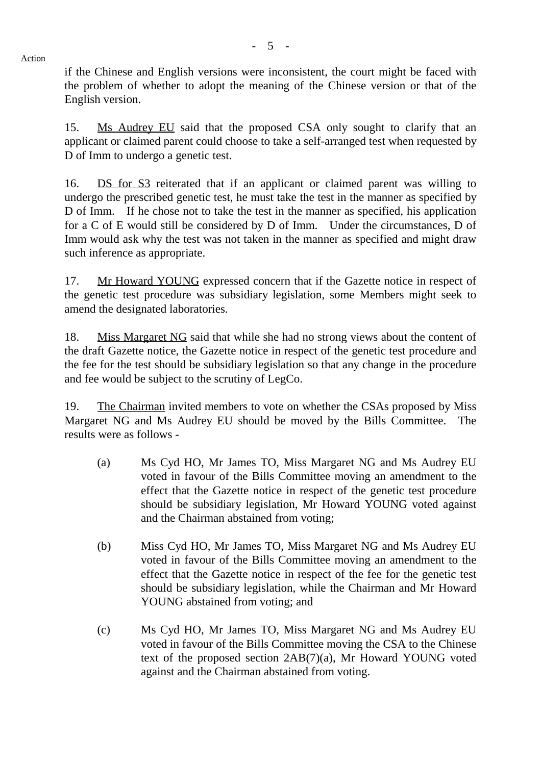Action

if the Chinese and English versions were inconsistent, the court might be faced with the problem of whether to adopt the meaning of the Chinese version or that of the English version.

15. Ms Audrey EU said that the proposed CSA only sought to clarify that an applicant or claimed parent could choose to take a self-arranged test when requested by D of Imm to undergo a genetic test.

16. DS for S3 reiterated that if an applicant or claimed parent was willing to undergo the prescribed genetic test, he must take the test in the manner as specified by D of Imm. If he chose not to take the test in the manner as specified, his application for a C of E would still be considered by D of Imm. Under the circumstances, D of Imm would ask why the test was not taken in the manner as specified and might draw such inference as appropriate.

17. Mr Howard YOUNG expressed concern that if the Gazette notice in respect of the genetic test procedure was subsidiary legislation, some Members might seek to amend the designated laboratories.

18. Miss Margaret NG said that while she had no strong views about the content of the draft Gazette notice, the Gazette notice in respect of the genetic test procedure and the fee for the test should be subsidiary legislation so that any change in the procedure and fee would be subject to the scrutiny of LegCo.

19. The Chairman invited members to vote on whether the CSAs proposed by Miss Margaret NG and Ms Audrey EU should be moved by the Bills Committee. The results were as follows -

- (a) Ms Cyd HO, Mr James TO, Miss Margaret NG and Ms Audrey EU voted in favour of the Bills Committee moving an amendment to the effect that the Gazette notice in respect of the genetic test procedure should be subsidiary legislation, Mr Howard YOUNG voted against and the Chairman abstained from voting;
- (b) Miss Cyd HO, Mr James TO, Miss Margaret NG and Ms Audrey EU voted in favour of the Bills Committee moving an amendment to the effect that the Gazette notice in respect of the fee for the genetic test should be subsidiary legislation, while the Chairman and Mr Howard YOUNG abstained from voting; and
- (c) Ms Cyd HO, Mr James TO, Miss Margaret NG and Ms Audrey EU voted in favour of the Bills Committee moving the CSA to the Chinese text of the proposed section 2AB(7)(a), Mr Howard YOUNG voted against and the Chairman abstained from voting.